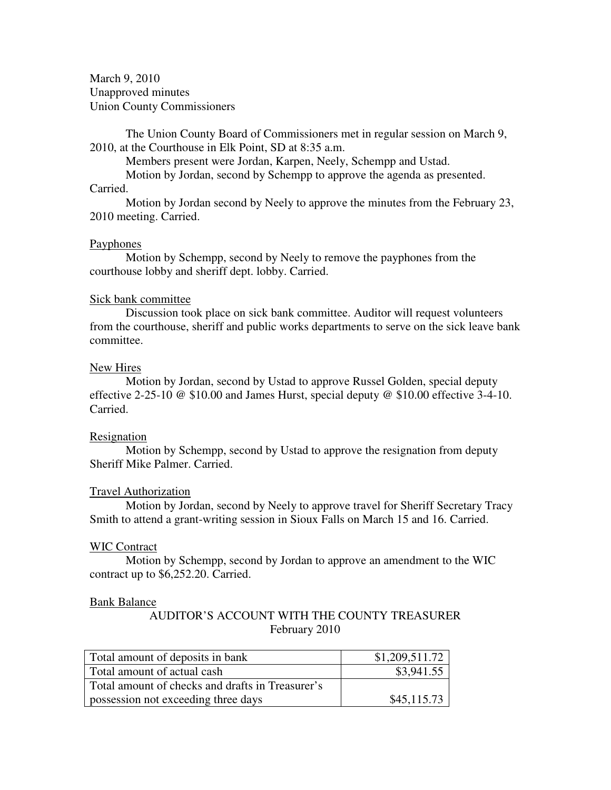March 9, 2010 Unapproved minutes Union County Commissioners

The Union County Board of Commissioners met in regular session on March 9, 2010, at the Courthouse in Elk Point, SD at 8:35 a.m.

Members present were Jordan, Karpen, Neely, Schempp and Ustad.

Motion by Jordan, second by Schempp to approve the agenda as presented.

## Carried.

 Motion by Jordan second by Neely to approve the minutes from the February 23, 2010 meeting. Carried.

## Payphones

 Motion by Schempp, second by Neely to remove the payphones from the courthouse lobby and sheriff dept. lobby. Carried.

## Sick bank committee

 Discussion took place on sick bank committee. Auditor will request volunteers from the courthouse, sheriff and public works departments to serve on the sick leave bank committee.

## New Hires

 Motion by Jordan, second by Ustad to approve Russel Golden, special deputy effective 2-25-10 @ \$10.00 and James Hurst, special deputy @ \$10.00 effective 3-4-10. Carried.

# Resignation

 Motion by Schempp, second by Ustad to approve the resignation from deputy Sheriff Mike Palmer. Carried.

### Travel Authorization

 Motion by Jordan, second by Neely to approve travel for Sheriff Secretary Tracy Smith to attend a grant-writing session in Sioux Falls on March 15 and 16. Carried.

### WIC Contract

 Motion by Schempp, second by Jordan to approve an amendment to the WIC contract up to \$6,252.20. Carried.

### Bank Balance

AUDITOR'S ACCOUNT WITH THE COUNTY TREASURER February 2010

| Total amount of deposits in bank                 | \$1,209,511.72 |
|--------------------------------------------------|----------------|
| Total amount of actual cash                      | \$3,941.55     |
| Total amount of checks and drafts in Treasurer's |                |
| possession not exceeding three days              | \$45,115.73    |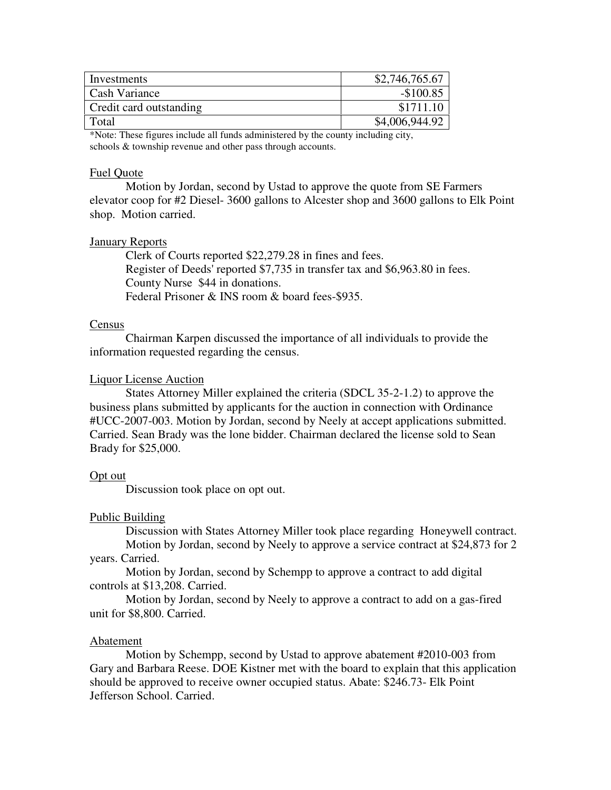| Investments             | \$2,746,765.67 |
|-------------------------|----------------|
| Cash Variance           | $-$100.85$     |
| Credit card outstanding | \$1711.10      |
| Total                   | \$4,006,944.92 |

\*Note: These figures include all funds administered by the county including city, schools & township revenue and other pass through accounts.

## Fuel Quote

 Motion by Jordan, second by Ustad to approve the quote from SE Farmers elevator coop for #2 Diesel- 3600 gallons to Alcester shop and 3600 gallons to Elk Point shop. Motion carried.

### January Reports

 Clerk of Courts reported \$22,279.28 in fines and fees. Register of Deeds' reported \$7,735 in transfer tax and \$6,963.80 in fees. County Nurse \$44 in donations. Federal Prisoner & INS room & board fees-\$935.

### Census

 Chairman Karpen discussed the importance of all individuals to provide the information requested regarding the census.

## Liquor License Auction

 States Attorney Miller explained the criteria (SDCL 35-2-1.2) to approve the business plans submitted by applicants for the auction in connection with Ordinance #UCC-2007-003. Motion by Jordan, second by Neely at accept applications submitted. Carried. Sean Brady was the lone bidder. Chairman declared the license sold to Sean Brady for \$25,000.

### Opt out

Discussion took place on opt out.

# Public Building

Discussion with States Attorney Miller took place regarding Honeywell contract.

 Motion by Jordan, second by Neely to approve a service contract at \$24,873 for 2 years. Carried.

 Motion by Jordan, second by Schempp to approve a contract to add digital controls at \$13,208. Carried.

 Motion by Jordan, second by Neely to approve a contract to add on a gas-fired unit for \$8,800. Carried.

## Abatement

Motion by Schempp, second by Ustad to approve abatement #2010-003 from Gary and Barbara Reese. DOE Kistner met with the board to explain that this application should be approved to receive owner occupied status. Abate: \$246.73- Elk Point Jefferson School. Carried.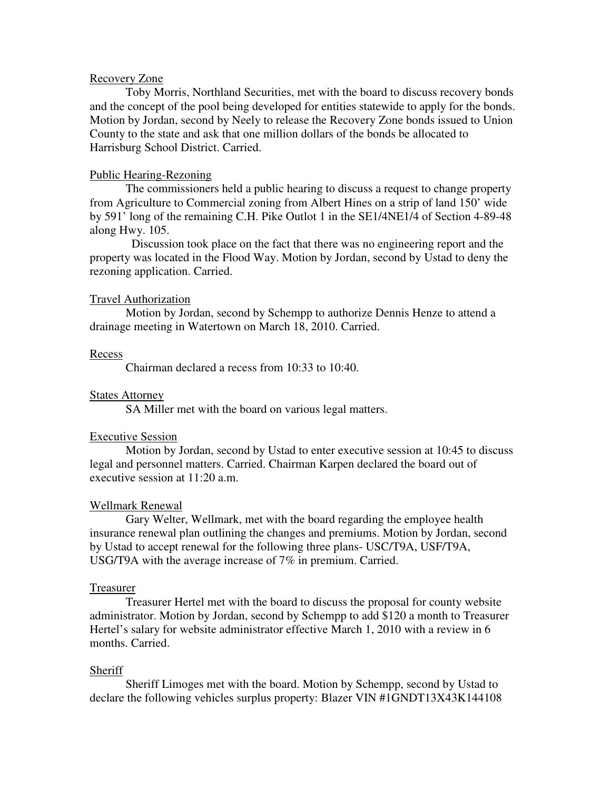## Recovery Zone

 Toby Morris, Northland Securities, met with the board to discuss recovery bonds and the concept of the pool being developed for entities statewide to apply for the bonds. Motion by Jordan, second by Neely to release the Recovery Zone bonds issued to Union County to the state and ask that one million dollars of the bonds be allocated to Harrisburg School District. Carried.

## Public Hearing-Rezoning

 The commissioners held a public hearing to discuss a request to change property from Agriculture to Commercial zoning from Albert Hines on a strip of land 150' wide by 591' long of the remaining C.H. Pike Outlot 1 in the SE1/4NE1/4 of Section 4-89-48 along Hwy. 105.

 Discussion took place on the fact that there was no engineering report and the property was located in the Flood Way. Motion by Jordan, second by Ustad to deny the rezoning application. Carried.

#### Travel Authorization

 Motion by Jordan, second by Schempp to authorize Dennis Henze to attend a drainage meeting in Watertown on March 18, 2010. Carried.

#### Recess

Chairman declared a recess from 10:33 to 10:40.

### States Attorney

SA Miller met with the board on various legal matters.

#### Executive Session

 Motion by Jordan, second by Ustad to enter executive session at 10:45 to discuss legal and personnel matters. Carried. Chairman Karpen declared the board out of executive session at 11:20 a.m.

#### Wellmark Renewal

 Gary Welter, Wellmark, met with the board regarding the employee health insurance renewal plan outlining the changes and premiums. Motion by Jordan, second by Ustad to accept renewal for the following three plans- USC/T9A, USF/T9A, USG/T9A with the average increase of 7% in premium. Carried.

#### Treasurer

 Treasurer Hertel met with the board to discuss the proposal for county website administrator. Motion by Jordan, second by Schempp to add \$120 a month to Treasurer Hertel's salary for website administrator effective March 1, 2010 with a review in 6 months. Carried.

#### Sheriff

 Sheriff Limoges met with the board. Motion by Schempp, second by Ustad to declare the following vehicles surplus property: Blazer VIN #1GNDT13X43K144108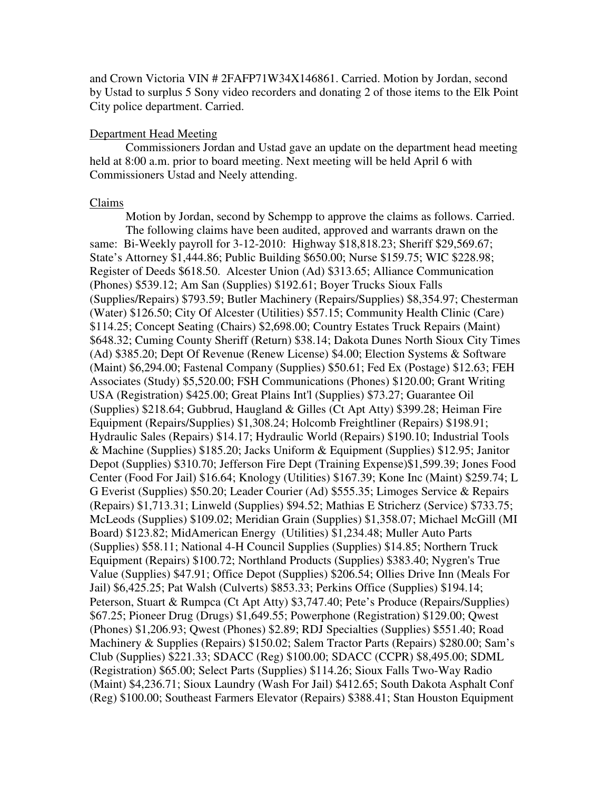and Crown Victoria VIN # 2FAFP71W34X146861. Carried. Motion by Jordan, second by Ustad to surplus 5 Sony video recorders and donating 2 of those items to the Elk Point City police department. Carried.

## Department Head Meeting

 Commissioners Jordan and Ustad gave an update on the department head meeting held at 8:00 a.m. prior to board meeting. Next meeting will be held April 6 with Commissioners Ustad and Neely attending.

### Claims

 Motion by Jordan, second by Schempp to approve the claims as follows. Carried. The following claims have been audited, approved and warrants drawn on the same: Bi-Weekly payroll for 3-12-2010: Highway \$18,818.23; Sheriff \$29,569.67; State's Attorney \$1,444.86; Public Building \$650.00; Nurse \$159.75; WIC \$228.98; Register of Deeds \$618.50. Alcester Union (Ad) \$313.65; Alliance Communication (Phones) \$539.12; Am San (Supplies) \$192.61; Boyer Trucks Sioux Falls (Supplies/Repairs) \$793.59; Butler Machinery (Repairs/Supplies) \$8,354.97; Chesterman (Water) \$126.50; City Of Alcester (Utilities) \$57.15; Community Health Clinic (Care) \$114.25; Concept Seating (Chairs) \$2,698.00; Country Estates Truck Repairs (Maint) \$648.32; Cuming County Sheriff (Return) \$38.14; Dakota Dunes North Sioux City Times (Ad) \$385.20; Dept Of Revenue (Renew License) \$4.00; Election Systems & Software (Maint) \$6,294.00; Fastenal Company (Supplies) \$50.61; Fed Ex (Postage) \$12.63; FEH Associates (Study) \$5,520.00; FSH Communications (Phones) \$120.00; Grant Writing USA (Registration) \$425.00; Great Plains Int'l (Supplies) \$73.27; Guarantee Oil (Supplies) \$218.64; Gubbrud, Haugland & Gilles (Ct Apt Atty) \$399.28; Heiman Fire Equipment (Repairs/Supplies) \$1,308.24; Holcomb Freightliner (Repairs) \$198.91; Hydraulic Sales (Repairs) \$14.17; Hydraulic World (Repairs) \$190.10; Industrial Tools & Machine (Supplies) \$185.20; Jacks Uniform & Equipment (Supplies) \$12.95; Janitor Depot (Supplies) \$310.70; Jefferson Fire Dept (Training Expense)\$1,599.39; Jones Food Center (Food For Jail) \$16.64; Knology (Utilities) \$167.39; Kone Inc (Maint) \$259.74; L G Everist (Supplies) \$50.20; Leader Courier (Ad) \$555.35; Limoges Service & Repairs (Repairs) \$1,713.31; Linweld (Supplies) \$94.52; Mathias E Stricherz (Service) \$733.75; McLeods (Supplies) \$109.02; Meridian Grain (Supplies) \$1,358.07; Michael McGill (MI Board) \$123.82; MidAmerican Energy (Utilities) \$1,234.48; Muller Auto Parts (Supplies) \$58.11; National 4-H Council Supplies (Supplies) \$14.85; Northern Truck Equipment (Repairs) \$100.72; Northland Products (Supplies) \$383.40; Nygren's True Value (Supplies) \$47.91; Office Depot (Supplies) \$206.54; Ollies Drive Inn (Meals For Jail) \$6,425.25; Pat Walsh (Culverts) \$853.33; Perkins Office (Supplies) \$194.14; Peterson, Stuart & Rumpca (Ct Apt Atty) \$3,747.40; Pete's Produce (Repairs/Supplies) \$67.25; Pioneer Drug (Drugs) \$1,649.55; Powerphone (Registration) \$129.00; Qwest (Phones) \$1,206.93; Qwest (Phones) \$2.89; RDJ Specialties (Supplies) \$551.40; Road Machinery & Supplies (Repairs) \$150.02; Salem Tractor Parts (Repairs) \$280.00; Sam's Club (Supplies) \$221.33; SDACC (Reg) \$100.00; SDACC (CCPR) \$8,495.00; SDML (Registration) \$65.00; Select Parts (Supplies) \$114.26; Sioux Falls Two-Way Radio (Maint) \$4,236.71; Sioux Laundry (Wash For Jail) \$412.65; South Dakota Asphalt Conf (Reg) \$100.00; Southeast Farmers Elevator (Repairs) \$388.41; Stan Houston Equipment